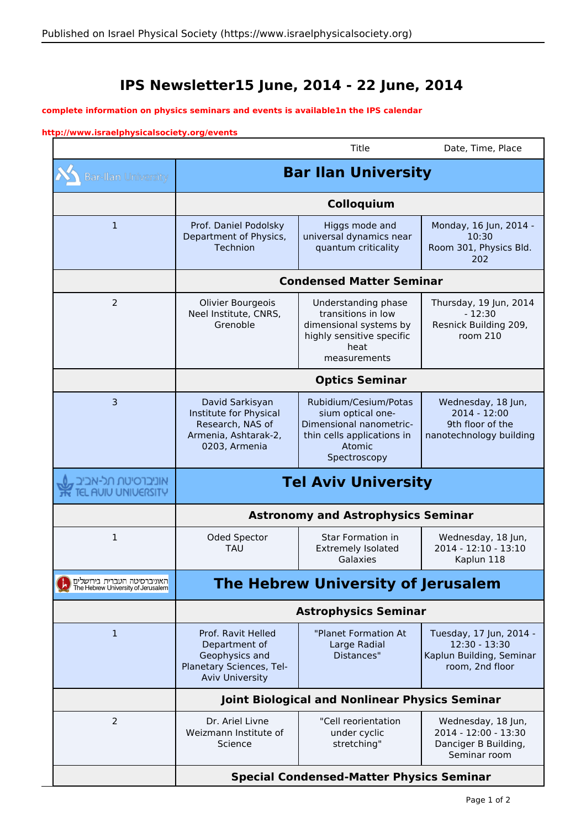## **IPS Newsletter15 June, 2014 - 22 June, 2014**

## **complete information on physics seminars and events is available1n the IPS calendar**

## **http://www.israelphysicalsociety.org/events**

 $\sim$ 

|                                                                   |                                                                                                             | Title                                                                                                                         | Date, Time, Place                                                                       |
|-------------------------------------------------------------------|-------------------------------------------------------------------------------------------------------------|-------------------------------------------------------------------------------------------------------------------------------|-----------------------------------------------------------------------------------------|
| <b>Bar-Ilan University</b>                                        | <b>Bar Ilan University</b>                                                                                  |                                                                                                                               |                                                                                         |
|                                                                   | Colloquium                                                                                                  |                                                                                                                               |                                                                                         |
| $\mathbf 1$                                                       | Prof. Daniel Podolsky<br>Department of Physics,<br>Technion                                                 | Higgs mode and<br>universal dynamics near<br>quantum criticality                                                              | Monday, 16 Jun, 2014 -<br>10:30<br>Room 301, Physics Bld.<br>202                        |
|                                                                   | <b>Condensed Matter Seminar</b>                                                                             |                                                                                                                               |                                                                                         |
| 2                                                                 | Olivier Bourgeois<br>Neel Institute, CNRS,<br>Grenoble                                                      | Understanding phase<br>transitions in low<br>dimensional systems by<br>highly sensitive specific<br>heat<br>measurements      | Thursday, 19 Jun, 2014<br>$-12:30$<br>Resnick Building 209,<br>room $210$               |
|                                                                   | <b>Optics Seminar</b>                                                                                       |                                                                                                                               |                                                                                         |
| 3                                                                 | David Sarkisyan<br>Institute for Physical<br>Research, NAS of<br>Armenia, Ashtarak-2,<br>0203, Armenia      | Rubidium/Cesium/Potas<br>sium optical one-<br>Dimensional nanometric-<br>thin cells applications in<br>Atomic<br>Spectroscopy | Wednesday, 18 Jun,<br>2014 - 12:00<br>9th floor of the<br>nanotechnology building       |
| אוניברסיטת תל-אביב<br>UIU UNIVERSITY                              | <b>Tel Aviv University</b>                                                                                  |                                                                                                                               |                                                                                         |
|                                                                   | <b>Astronomy and Astrophysics Seminar</b>                                                                   |                                                                                                                               |                                                                                         |
| $\mathbf{1}$                                                      | Oded Spector<br><b>TAU</b>                                                                                  | <b>Star Formation in</b><br><b>Extremely Isolated</b><br>Galaxies                                                             | Wednesday, 18 Jun,<br>2014 - 12:10 - 13:10<br>Kaplun 118                                |
| האוניברסיטה העברית בירושלים<br>The Hebrew University of Jerusalem | <b>The Hebrew University of Jerusalem</b>                                                                   |                                                                                                                               |                                                                                         |
|                                                                   | <b>Astrophysics Seminar</b>                                                                                 |                                                                                                                               |                                                                                         |
| $\mathbf{1}$                                                      | Prof. Ravit Helled<br>Department of<br>Geophysics and<br>Planetary Sciences, Tel-<br><b>Aviv University</b> | "Planet Formation At<br>Large Radial<br>Distances"                                                                            | Tuesday, 17 Jun, 2014 -<br>12:30 - 13:30<br>Kaplun Building, Seminar<br>room, 2nd floor |
|                                                                   | Joint Biological and Nonlinear Physics Seminar                                                              |                                                                                                                               |                                                                                         |
| 2                                                                 | Dr. Ariel Livne<br>Weizmann Institute of<br>Science                                                         | "Cell reorientation<br>under cyclic<br>stretching"                                                                            | Wednesday, 18 Jun,<br>2014 - 12:00 - 13:30<br>Danciger B Building,<br>Seminar room      |
|                                                                   | <b>Special Condensed-Matter Physics Seminar</b>                                                             |                                                                                                                               |                                                                                         |